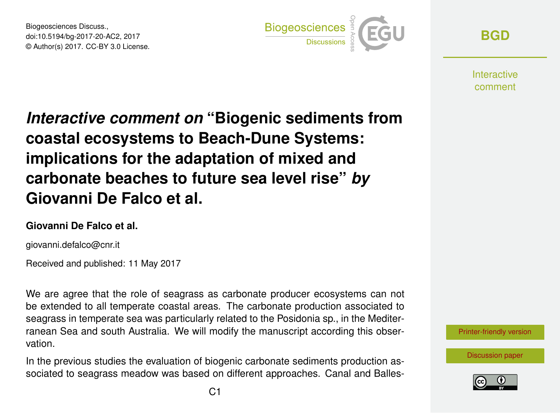Biogeosciences Discuss., doi:10.5194/bg-2017-20-AC2, 2017 © Author(s) 2017. CC-BY 3.0 License.



**[BGD](http://www.biogeosciences-discuss.net/)**

**Interactive** comment

*Interactive comment on* **"Biogenic sediments from coastal ecosystems to Beach-Dune Systems: implications for the adaptation of mixed and carbonate beaches to future sea level rise"** *by* **Giovanni De Falco et al.**

## **Giovanni De Falco et al.**

giovanni.defalco@cnr.it

Received and published: 11 May 2017

We are agree that the role of seagrass as carbonate producer ecosystems can not be extended to all temperate coastal areas. The carbonate production associated to seagrass in temperate sea was particularly related to the Posidonia sp., in the Mediterranean Sea and south Australia. We will modify the manuscript according this observation.

In the previous studies the evaluation of biogenic carbonate sediments production associated to seagrass meadow was based on different approaches. Canal and Balles-



[Discussion paper](http://www.biogeosciences-discuss.net/bg-2017-20)